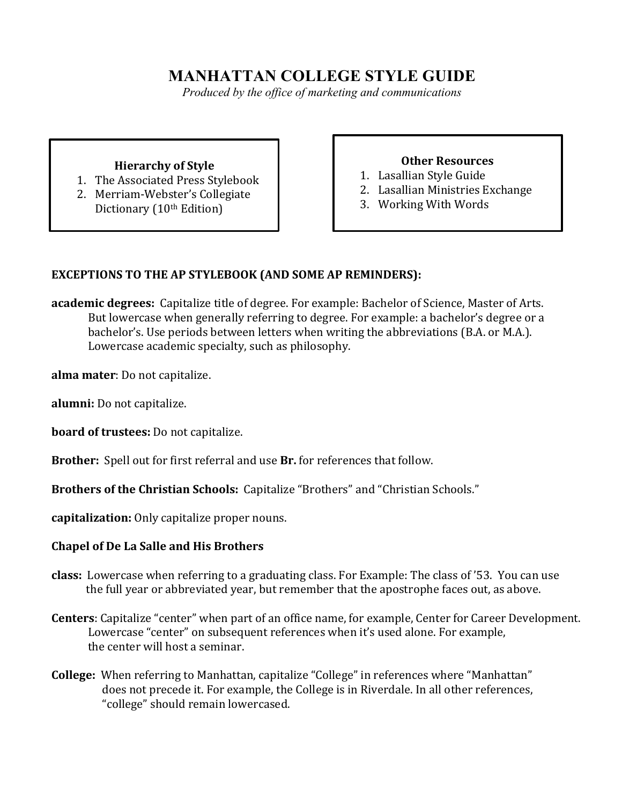# **MANHATTAN COLLEGE STYLE GUIDE**

*Produced by the office of marketing and communications*

### **Hierarchy of Style**

- 1. The Associated Press Stylebook
- 2. Merriam-Webster's Collegiate Dictionary (10<sup>th</sup> Edition)

## **Other Resources**

- 1. Lasallian Style Guide
- 2. Lasallian Ministries Exchange
- 3. Working With Words

## **EXCEPTIONS TO THE AP STYLEBOOK (AND SOME AP REMINDERS):**

**academic degrees:** Capitalize title of degree. For example: Bachelor of Science, Master of Arts. But lowercase when generally referring to degree. For example: a bachelor's degree or a bachelor's. Use periods between letters when writing the abbreviations (B.A. or M.A.). Lowercase academic specialty, such as philosophy.

**alma mater**: Do not capitalize.

**alumni:** Do not capitalize.

**board of trustees:** Do not capitalize.

**Brother:** Spell out for first referral and use **Br.** for references that follow.

**Brothers of the Christian Schools:** Capitalize "Brothers" and "Christian Schools."

**capitalization:** Only capitalize proper nouns.

#### **Chapel of De La Salle and His Brothers**

- **class:** Lowercase when referring to a graduating class. For Example: The class of '53. You can use the full year or abbreviated year, but remember that the apostrophe faces out, as above.
- **Centers**: Capitalize "center" when part of an office name, for example, Center for Career Development. Lowercase "center" on subsequent references when it's used alone. For example, the center will host a seminar.
- **College:** When referring to Manhattan, capitalize "College" in references where "Manhattan" does not precede it. For example, the College is in Riverdale. In all other references, "college" should remain lowercased.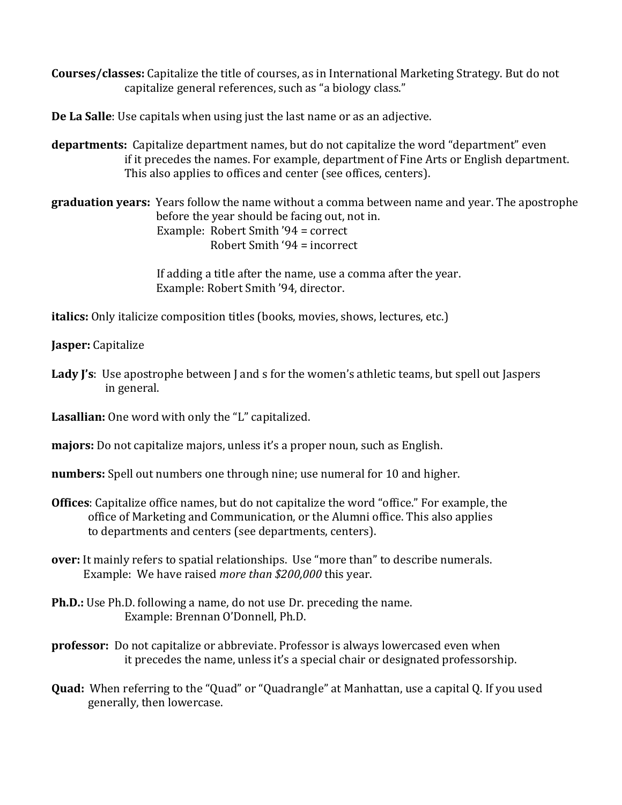**Courses/classes:** Capitalize the title of courses, as in International Marketing Strategy. But do not capitalize general references, such as "a biology class."

**De La Salle**: Use capitals when using just the last name or as an adjective.

**departments:** Capitalize department names, but do not capitalize the word "department" even if it precedes the names. For example, department of Fine Arts or English department. This also applies to offices and center (see offices, centers).

**graduation years:** Years follow the name without a comma between name and year. The apostrophe before the year should be facing out, not in. Example: Robert Smith  $'94 =$  correct Robert Smith  $94 =$  incorrect

> If adding a title after the name, use a comma after the year. Example: Robert Smith '94, director.

**italics:** Only italicize composition titles (books, movies, shows, lectures, etc.)

**Jasper:** Capitalize

**Lady J's**: Use apostrophe between J and s for the women's athletic teams, but spell out Jaspers in general.

**Lasallian:** One word with only the "L" capitalized.

**majors:** Do not capitalize majors, unless it's a proper noun, such as English.

**numbers:** Spell out numbers one through nine; use numeral for 10 and higher.

- **Offices**: Capitalize office names, but do not capitalize the word "office." For example, the office of Marketing and Communication, or the Alumni office. This also applies to departments and centers (see departments, centers).
- **over:** It mainly refers to spatial relationships. Use "more than" to describe numerals. Example: We have raised *more than* \$200,000 this year.
- **Ph.D.:** Use Ph.D. following a name, do not use Dr. preceding the name. Example: Brennan O'Donnell, Ph.D.
- **professor:** Do not capitalize or abbreviate. Professor is always lowercased even when it precedes the name, unless it's a special chair or designated professorship.
- **Quad:** When referring to the "Quad" or "Quadrangle" at Manhattan, use a capital Q. If you used generally, then lowercase.